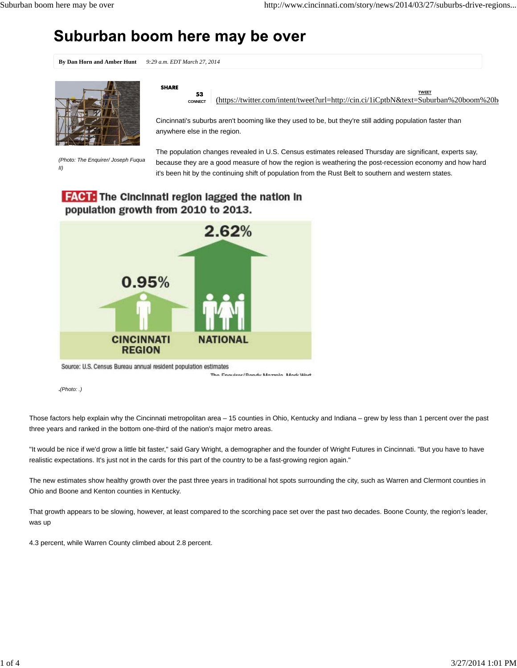# Suburban boom here may be over

**By Dan Horn and Amber Hunt** *9:29 a.m. EDT March 27, 2014*



*(Photo: The Enquirer/ Joseph Fuqua II)*

**SHARE** 

53

**CONNECT** (https://twitter.com/intent/tweet?url=http://cin.ci/1iCptbN&text=Suburban%20boom%20he **TWEET**

Cincinnati's suburbs aren't booming like they used to be, but they're still adding population faster than anywhere else in the region.

The population changes revealed in U.S. Census estimates released Thursday are significant, experts say, because they are a good measure of how the region is weathering the post-recession economy and how hard it's been hit by the continuing shift of population from the Rust Belt to southern and western states.

## **FACT:** The Cincinnati region lagged the nation in population growth from 2010 to 2013.



The Considerationally Mazzola, Mark West

**.***(Photo: .)*

Those factors help explain why the Cincinnati metropolitan area – 15 counties in Ohio, Kentucky and Indiana – grew by less than 1 percent over the past three years and ranked in the bottom one-third of the nation's major metro areas.

"It would be nice if we'd grow a little bit faster," said Gary Wright, a demographer and the founder of Wright Futures in Cincinnati. "But you have to have realistic expectations. It's just not in the cards for this part of the country to be a fast-growing region again."

The new estimates show healthy growth over the past three years in traditional hot spots surrounding the city, such as Warren and Clermont counties in Ohio and Boone and Kenton counties in Kentucky.

That growth appears to be slowing, however, at least compared to the scorching pace set over the past two decades. Boone County, the region's leader, was up

4.3 percent, while Warren County climbed about 2.8 percent.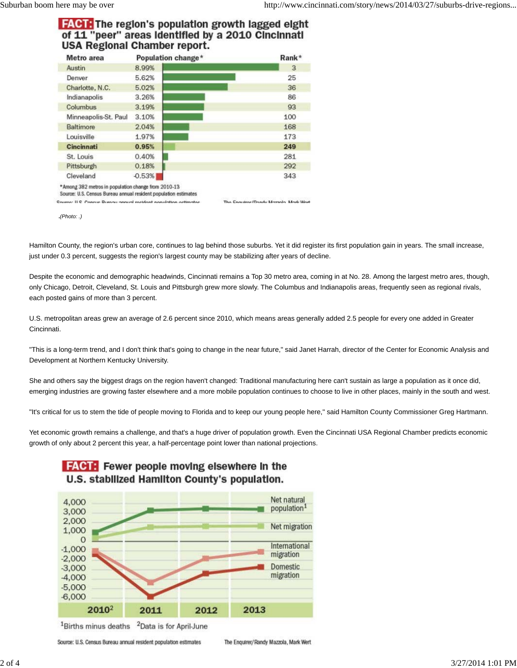## **FACT:** The region's population growth lagged eight of 11 "peer" areas Identified by a 2010 Cincinnati **USA Regional Chamber report.**

| Metro area                                                                                                             | Population change* | Rank*                                  |
|------------------------------------------------------------------------------------------------------------------------|--------------------|----------------------------------------|
| Austin                                                                                                                 | 8.99%              | 3                                      |
| Denver                                                                                                                 | 5.62%              | 25                                     |
| Charlotte, N.C.                                                                                                        | 5.02%              | 36                                     |
| Indianapolis                                                                                                           | 3.26%              | 86                                     |
| Columbus                                                                                                               | 3.19%              | 93                                     |
| Minneapolis-St. Paul                                                                                                   | 3.10%              | 100                                    |
| Baltimore                                                                                                              | 2.04%              | 168                                    |
| Louisville                                                                                                             | 1.97%              | 173                                    |
| Cincinnati                                                                                                             | 0.95%              | 249                                    |
| St. Louis                                                                                                              | 0.40%              | 281                                    |
| Pittsburgh                                                                                                             | 0.18%              | 292                                    |
| Cleveland                                                                                                              | $-0.53%$           | 343                                    |
| *Among 382 metros in population change from 2010-13<br>Source: U.S. Census Bureau annual resident population estimates |                    |                                        |
| Source: ILS. Consus Rumou annual resident penulation ostimates                                                         |                    | The Engelser/Danger Massala, Mark Wart |

**.***(Photo: .)*

Hamilton County, the region's urban core, continues to lag behind those suburbs. Yet it did register its first population gain in years. The small increase, just under 0.3 percent, suggests the region's largest county may be stabilizing after years of decline.

Despite the economic and demographic headwinds, Cincinnati remains a Top 30 metro area, coming in at No. 28. Among the largest metro ares, though, only Chicago, Detroit, Cleveland, St. Louis and Pittsburgh grew more slowly. The Columbus and Indianapolis areas, frequently seen as regional rivals, each posted gains of more than 3 percent.

U.S. metropolitan areas grew an average of 2.6 percent since 2010, which means areas generally added 2.5 people for every one added in Greater Cincinnati.

"This is a long-term trend, and I don't think that's going to change in the near future," said Janet Harrah, director of the Center for Economic Analysis and Development at Northern Kentucky University.

She and others say the biggest drags on the region haven't changed: Traditional manufacturing here can't sustain as large a population as it once did, emerging industries are growing faster elsewhere and a more mobile population continues to choose to live in other places, mainly in the south and west.

"It's critical for us to stem the tide of people moving to Florida and to keep our young people here," said Hamilton County Commissioner Greg Hartmann.

Yet economic growth remains a challenge, and that's a huge driver of population growth. Even the Cincinnati USA Regional Chamber predicts economic growth of only about 2 percent this year, a half-percentage point lower than national projections.

The Enguirer/Randy Mazzola, Mark Wert



Source: U.S. Census Bureau annual resident population estimates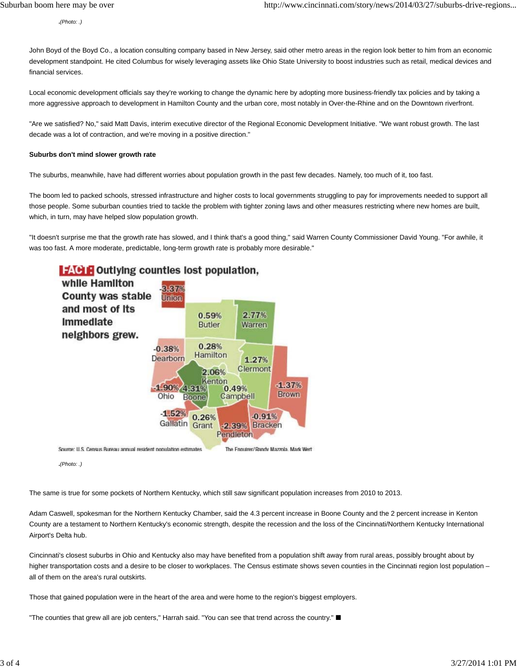**.***(Photo: .)*

John Boyd of the Boyd Co., a location consulting company based in New Jersey, said other metro areas in the region look better to him from an economic development standpoint. He cited Columbus for wisely leveraging assets like Ohio State University to boost industries such as retail, medical devices and financial services.

Local economic development officials say they're working to change the dynamic here by adopting more business-friendly tax policies and by taking a more aggressive approach to development in Hamilton County and the urban core, most notably in Over-the-Rhine and on the Downtown riverfront.

"Are we satisfied? No," said Matt Davis, interim executive director of the Regional Economic Development Initiative. "We want robust growth. The last decade was a lot of contraction, and we're moving in a positive direction."

#### **Suburbs don't mind slower growth rate**

The suburbs, meanwhile, have had different worries about population growth in the past few decades. Namely, too much of it, too fast.

The boom led to packed schools, stressed infrastructure and higher costs to local governments struggling to pay for improvements needed to support all those people. Some suburban counties tried to tackle the problem with tighter zoning laws and other measures restricting where new homes are built, which, in turn, may have helped slow population growth.

"It doesn't surprise me that the growth rate has slowed, and I think that's a good thing," said Warren County Commissioner David Young. "For awhile, it was too fast. A more moderate, predictable, long-term growth rate is probably more desirable."



Source: U.S. Census Bureau annual resident population estimates

The Fnoutrer/Randy Mazzola, Mark Wert

### **.***(Photo: .)*

The same is true for some pockets of Northern Kentucky, which still saw significant population increases from 2010 to 2013.

Adam Caswell, spokesman for the Northern Kentucky Chamber, said the 4.3 percent increase in Boone County and the 2 percent increase in Kenton County are a testament to Northern Kentucky's economic strength, despite the recession and the loss of the Cincinnati/Northern Kentucky International Airport's Delta hub.

Cincinnati's closest suburbs in Ohio and Kentucky also may have benefited from a population shift away from rural areas, possibly brought about by higher transportation costs and a desire to be closer to workplaces. The Census estimate shows seven counties in the Cincinnati region lost population all of them on the area's rural outskirts.

Those that gained population were in the heart of the area and were home to the region's biggest employers.

"The counties that grew all are job centers," Harrah said. "You can see that trend across the country." ■